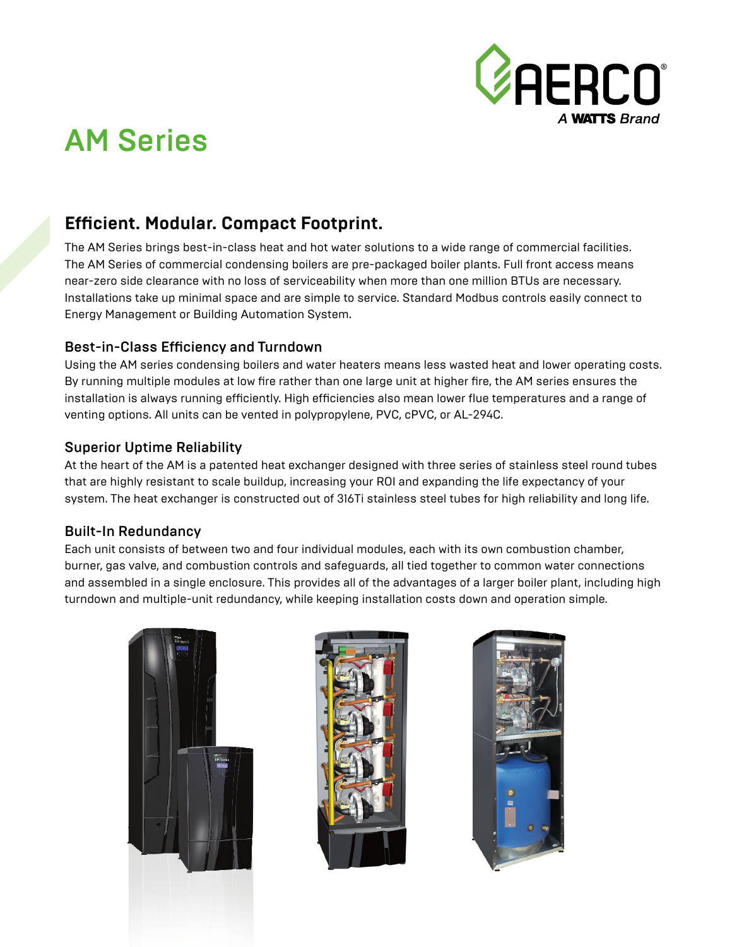

# AM Series

## **Efficient. Modular. Compact Footprint.**

The AM Series brings best-in-class heat and hot water solutions to a wide range of commercial facilities. The AM Series of commercial condensing boilers are pre-packaged boiler plants. Full front access means near-zero side clearance with no loss of serviceability when more than one million BTUs are necessary. Installations take up minimal space and are simple to service. Standard Modbus controls easily connect to Energy Management or Building Automation System.

#### Best-in-Class Efficiency and Turndown

Using the AM series condensing boilers and water heaters means less wasted heat and lower operating costs. By running multiple modules at low fire rather than one large unit at higher fire, the AM series ensures the installation is always running efficiently. High efficiencies also mean lower flue temperatures and a range of venting options. All units can be vented in polypropylene, PVC, cPVC, or AL-294C.

#### Superior Uptime Reliability

At the heart of the AM is a patented heat exchanger designed with three series of stainless steel round tubes that are highly resistant to scale buildup, increasing your ROI and expanding the life expectancy of your system. The heat exchanger is constructed out of 316Ti stainless steel tubes for high reliability and long life.

#### Built-In Redundancy

Each unit consists of between two and four individual modules, each with its own combustion chamber, burner, gas valve, and combustion controls and safeguards, all tied together to common water connections and assembled in a single enclosure. This provides all of the advantages of a larger boiler plant, including high turndown and multiple-unit redundancy, while keeping installation costs down and operation simple.